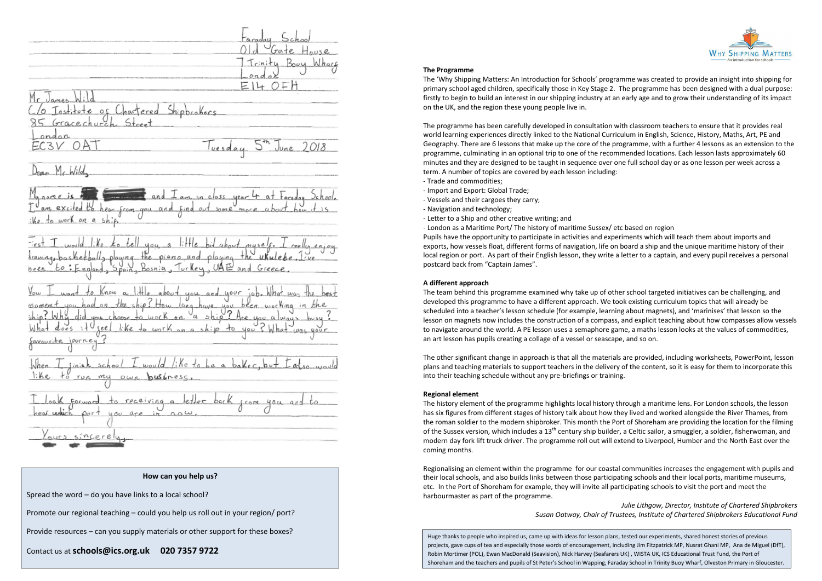#### **The Programme**

The 'Why Shipping Matters: An Introduction for Schools' programme was created to provide an insight into shipping for primary school aged children, specifically those in Key Stage 2. The programme has been designed with a dual purpose: firstly to begin to build an interest in our shipping industry at an early age and to grow their understanding of its impact on the UK, and the region these young people live in.

The programme has been carefully developed in consultation with classroom teachers to ensure that it provides real world learning experiences directly linked to the National Curriculum in English, Science, History, Maths, Art, PE and Geography. There are 6 lessons that make up the core of the programme, with a further 4 lessons as an extension to the programme, culminating in an optional trip to one of the recommended locations. Each lesson lasts approximately 60 minutes and they are designed to be taught in sequence over one full school day or as one lesson per week across a term. A number of topics are covered by each lesson including: - Trade and commodities;

- Import and Export: Global Trade;
- Vessels and their cargoes they carry;
- Navigation and technology;
- Letter to a Ship and other creative writing; and

- London as a Maritime Port/ The history of maritime Sussex/ etc based on region Pupils have the opportunity to participate in activities and experiments which will teach them about imports and exports, how vessels float, different forms of navigation, life on board a ship and the unique maritime history of their local region or port. As part of their English lesson, they write a letter to a captain, and every pupil receives a personal postcard back from "Captain James".

## **A different approach**

The team behind this programme examined why take up of other school targeted initiatives can be challenging, and developed this programme to have a different approach. We took existing curriculum topics that will already be scheduled into a teacher's lesson schedule (for example, learning about magnets), and 'marinises' that lesson so the lesson on magnets now includes the construction of a compass, and explicit teaching about how compasses allow vessels to navigate around the world. A PE lesson uses a semaphore game, a maths lesson looks at the values of commodities, an art lesson has pupils creating a collage of a vessel or seascape, and so on.

The other significant change in approach is that all the materials are provided, including worksheets, PowerPoint, lesson plans and teaching materials to support teachers in the delivery of the content, so it is easy for them to incorporate this into their teaching schedule without any pre-briefings or training.

### **Regional element**

The history element of the programme highlights local history through a maritime lens. For London schools, the lesson has six figures from different stages of history talk about how they lived and worked alongside the River Thames, from the roman soldier to the modern shipbroker. This month the Port of Shoreham are providing the location for the filming of the Sussex version, which includes a 13<sup>th</sup> century ship builder, a Celtic sailor, a smuggler, a soldier, fisherwoman, and modern day fork lift truck driver. The programme roll out will extend to Liverpool, Humber and the North East over the coming months.

Regionalising an element within the programme for our coastal communities increases the engagement with pupils and their local schools, and also builds links between those participating schools and their local ports, maritime museums, etc. In the Port of Shoreham for example, they will invite all participating schools to visit the port and meet the harbourmaster as part of the programme.

> *Julie Lithgow, Director, Institute of Chartered Shipbrokers Susan Oatway, Chair of Trustees, Institute of Chartered Shipbrokers Educational Fund*

 $B<sub>0</sub>u$ EI4 OF Shippcakecs Gracechurch  $\leq 1$ 0 A EC3V luesday June M , Wild From you and find on Bosnia Greece  $U0U$ ave you been woching  $\vee_{\alpha}$  $lik$ e+ seel journey pusiness mu receiving a LCOM. are 14 GU in. sincer

## **How can you help us?**

Spread the word – do you have links to a local school?

Promote our regional teaching – could you help us roll out in your region/ port?

Provide resources – can you supply materials or other support for these boxes?

Contact us at **schools@ics.org.uk 020 7357 9722**

Huge thanks to people who inspired us, came up with ideas for lesson plans, tested our experiments, shared honest stories of previous projects, gave cups of tea and especially those words of encouragement, including Jim Fitzpatrick MP, Nusrat Ghani MP, Ana de Miguel (DfT), Robin Mortimer (POL), Ewan MacDonald (Seavision), Nick Harvey (Seafarers UK) , WISTA UK, ICS Educational Trust Fund, the Port of Shoreham and the teachers and pupils of St Peter's School in Wapping, Faraday School in Trinity Buoy Wharf, Olveston Primary in Gloucester.